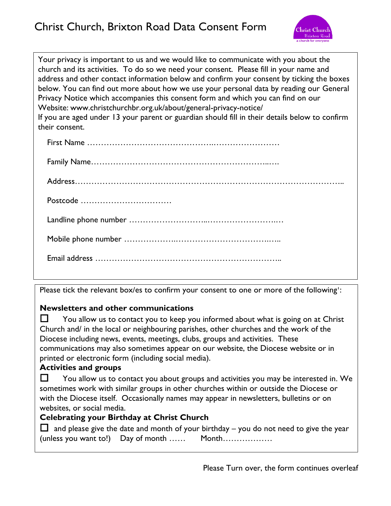

Your privacy is important to us and we would like to communicate with you about the church and its activities. To do so we need your consent. Please fill in your name and address and other contact information below and confirm your consent by ticking the boxes below. You can find out more about how we use your personal data by reading our General Privacy Notice which accompanies this consent form and which you can find on our Website: www.christchurchbr.org.uk/about/general-privacy-notice/ If you are aged under 13 your parent or guardian should fill in their details below to confirm their consent.

Please tick the relevant box/es to confirm your consent to one or more of the following':

## **Newsletters and other communications**

 $\Box$  You allow us to contact you to keep you informed about what is going on at Christ Church and/ in the local or neighbouring parishes, other churches and the work of the Diocese including news, events, meetings, clubs, groups and activities. These communications may also sometimes appear on our website, the Diocese website or in printed or electronic form (including social media).

## **Activities and groups**

 $\Box$  You allow us to contact you about groups and activities you may be interested in. We sometimes work with similar groups in other churches within or outside the Diocese or with the Diocese itself. Occasionally names may appear in newsletters, bulletins or on websites, or social media.

## **Celebrating your Birthday at Christ Church**

 $\Box$  and please give the date and month of your birthday – you do not need to give the year  $(unless you want to!)$  Day of month  $...,$  Month $...,$